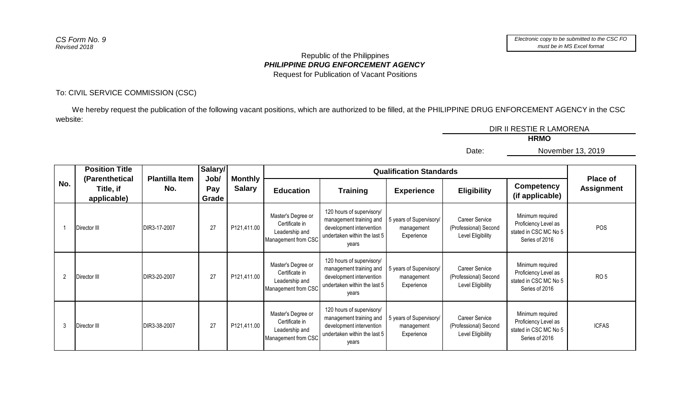## *PHILIPPINE DRUG ENFORCEMENT AGENCY* Republic of the Philippines Request for Publication of Vacant Positions

## To: CIVIL SERVICE COMMISSION (CSC)

 We hereby request the publication of the following vacant positions, which are authorized to be filled, at the PHILIPPINE DRUG ENFORCEMENT AGENCY in the CSC website:

| DIR II RESTIE R LAMORENA |  |
|--------------------------|--|
| <b>HRMO</b>              |  |

Date:

November 13, 2019

|                | <b>Position Title</b>                      |                              | Salary/<br>Job/ |                                 |                                                                               |                                                                                                                           | <b>Qualification Standards</b>                      |                                                              |                                                                                     |                                      |
|----------------|--------------------------------------------|------------------------------|-----------------|---------------------------------|-------------------------------------------------------------------------------|---------------------------------------------------------------------------------------------------------------------------|-----------------------------------------------------|--------------------------------------------------------------|-------------------------------------------------------------------------------------|--------------------------------------|
| No.            | (Parenthetical<br>Title, if<br>applicable) | <b>Plantilla Item</b><br>No. | Pay<br>Grade    | <b>Monthly</b><br><b>Salary</b> | <b>Education</b>                                                              | <b>Training</b>                                                                                                           | <b>Experience</b>                                   | <b>Eligibility</b>                                           | Competency<br>(if applicable)                                                       | <b>Place of</b><br><b>Assignment</b> |
|                | Director III                               | DIR3-17-2007                 | 27              | P121,411.00                     | Master's Degree or<br>Certificate in<br>Leadership and<br>Management from CSC | 120 hours of supervisory/<br>management training and<br>development intervention<br>undertaken within the last 5<br>years | 5 years of Supervisory/<br>management<br>Experience | Career Service<br>(Professional) Second<br>Level Eligibility | Minimum required<br>Proficiency Level as<br>stated in CSC MC No 5<br>Series of 2016 | <b>POS</b>                           |
| $\overline{2}$ | Director III                               | DIR3-20-2007                 | 27              | P121,411.00                     | Master's Degree or<br>Certificate in<br>Leadership and<br>Management from CSC | 120 hours of supervisory/<br>management training and<br>development intervention<br>undertaken within the last 5<br>years | 5 years of Supervisory/<br>management<br>Experience | Career Service<br>(Professional) Second<br>Level Eligibility | Minimum required<br>Proficiency Level as<br>stated in CSC MC No 5<br>Series of 2016 | RO <sub>5</sub>                      |
| 3              | Director III                               | DIR3-38-2007                 | 27              | P121,411.00                     | Master's Degree or<br>Certificate in<br>Leadership and<br>Management from CSC | 120 hours of supervisory/<br>management training and<br>development intervention<br>undertaken within the last 5<br>years | 5 years of Supervisory/<br>management<br>Experience | Career Service<br>(Professional) Second<br>Level Eligibility | Minimum required<br>Proficiency Level as<br>stated in CSC MC No 5<br>Series of 2016 | <b>ICFAS</b>                         |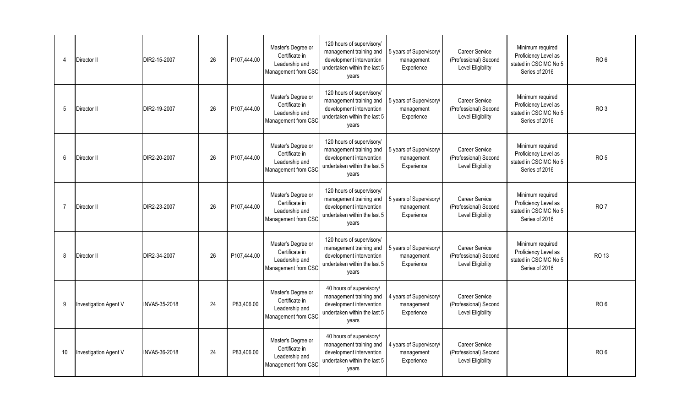| $\boldsymbol{\Lambda}$ | Director II           | DIR2-15-2007  | 26 | P107,444.00 | Master's Degree or<br>Certificate in<br>Leadership and<br>Management from CSC | 120 hours of supervisory/<br>management training and<br>development intervention<br>undertaken within the last 5<br>years | 5 years of Supervisory/<br>management<br>Experience | <b>Career Service</b><br>(Professional) Second<br>Level Eligibility | Minimum required<br>Proficiency Level as<br>stated in CSC MC No 5<br>Series of 2016 | RO <sub>6</sub> |
|------------------------|-----------------------|---------------|----|-------------|-------------------------------------------------------------------------------|---------------------------------------------------------------------------------------------------------------------------|-----------------------------------------------------|---------------------------------------------------------------------|-------------------------------------------------------------------------------------|-----------------|
| $\overline{5}$         | Director II           | DIR2-19-2007  | 26 | P107,444.00 | Master's Degree or<br>Certificate in<br>Leadership and<br>Management from CSC | 120 hours of supervisory/<br>management training and<br>development intervention<br>undertaken within the last 5<br>years | 5 years of Supervisory/<br>management<br>Experience | Career Service<br>(Professional) Second<br><b>Level Eligibility</b> | Minimum required<br>Proficiency Level as<br>stated in CSC MC No 5<br>Series of 2016 | RO <sub>3</sub> |
| 6                      | Director II           | DIR2-20-2007  | 26 | P107,444.00 | Master's Degree or<br>Certificate in<br>Leadership and<br>Management from CSC | 120 hours of supervisory/<br>management training and<br>development intervention<br>undertaken within the last 5<br>vears | 5 years of Supervisory/<br>management<br>Experience | Career Service<br>(Professional) Second<br>Level Eligibility        | Minimum required<br>Proficiency Level as<br>stated in CSC MC No 5<br>Series of 2016 | RO <sub>5</sub> |
| $\overline{7}$         | Director II           | DIR2-23-2007  | 26 | P107,444.00 | Master's Degree or<br>Certificate in<br>Leadership and<br>Management from CSC | 120 hours of supervisory/<br>management training and<br>development intervention<br>undertaken within the last 5<br>years | 5 years of Supervisory/<br>management<br>Experience | <b>Career Service</b><br>(Professional) Second<br>Level Eligibility | Minimum required<br>Proficiency Level as<br>stated in CSC MC No 5<br>Series of 2016 | RO <sub>7</sub> |
| 8                      | Director II           | DIR2-34-2007  | 26 | P107,444.00 | Master's Degree or<br>Certificate in<br>Leadership and<br>Management from CSC | 120 hours of supervisory/<br>management training and<br>development intervention<br>undertaken within the last 5<br>years | 5 years of Supervisory/<br>management<br>Experience | Career Service<br>(Professional) Second<br>Level Eligibility        | Minimum required<br>Proficiency Level as<br>stated in CSC MC No 5<br>Series of 2016 | <b>RO 13</b>    |
| 9                      | Investigation Agent V | INVA5-35-2018 | 24 | P83,406.00  | Master's Degree or<br>Certificate in<br>Leadership and<br>Management from CSC | 40 hours of supervisory/<br>management training and<br>development intervention<br>undertaken within the last 5<br>years  | 4 years of Supervisory/<br>management<br>Experience | Career Service<br>(Professional) Second<br><b>Level Eligibility</b> |                                                                                     | RO <sub>6</sub> |
| 10                     | Investigation Agent V | INVA5-36-2018 | 24 | P83,406.00  | Master's Degree or<br>Certificate in<br>Leadership and<br>Management from CSC | 40 hours of supervisory/<br>management training and<br>development intervention<br>undertaken within the last 5<br>years  | 4 years of Supervisory/<br>management<br>Experience | Career Service<br>(Professional) Second<br>Level Eligibility        |                                                                                     | RO <sub>6</sub> |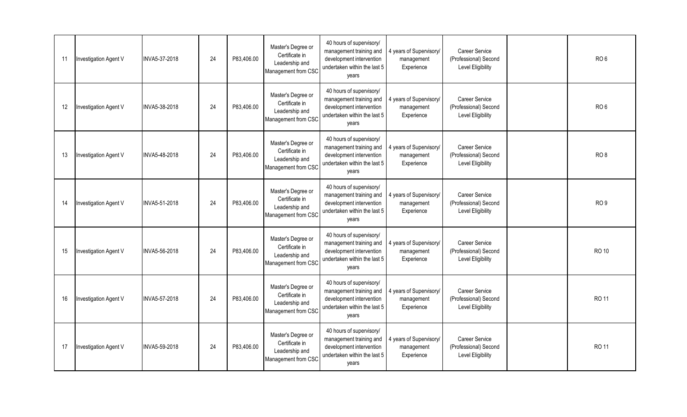| -11 | Investigation Agent V | INVA5-37-2018 | 24 | P83,406.00 | Master's Degree or<br>Certificate in<br>Leadership and<br>Management from CSC | 40 hours of supervisory/<br>management training and<br>development intervention<br>undertaken within the last 5<br>vears | 4 years of Supervisory/<br>management<br>Experience | Career Service<br>(Professional) Second<br>Level Eligibility        | RO <sub>6</sub> |
|-----|-----------------------|---------------|----|------------|-------------------------------------------------------------------------------|--------------------------------------------------------------------------------------------------------------------------|-----------------------------------------------------|---------------------------------------------------------------------|-----------------|
| 12  | Investigation Agent V | INVA5-38-2018 | 24 | P83,406.00 | Master's Degree or<br>Certificate in<br>Leadership and<br>Management from CSC | 40 hours of supervisory/<br>management training and<br>development intervention<br>undertaken within the last 5<br>years | 4 years of Supervisory/<br>management<br>Experience | Career Service<br>(Professional) Second<br>Level Eligibility        | RO <sub>6</sub> |
| 13  | Investigation Agent V | INVA5-48-2018 | 24 | P83,406.00 | Master's Degree or<br>Certificate in<br>Leadership and<br>Management from CSC | 40 hours of supervisory/<br>management training and<br>development intervention<br>undertaken within the last 5<br>years | 4 years of Supervisory/<br>management<br>Experience | Career Service<br>(Professional) Second<br>Level Eligibility        | RO <sub>8</sub> |
| 14  | Investigation Agent V | INVA5-51-2018 | 24 | P83,406.00 | Master's Degree or<br>Certificate in<br>Leadership and<br>Management from CSC | 40 hours of supervisory/<br>management training and<br>development intervention<br>undertaken within the last 5<br>years | 4 years of Supervisory/<br>management<br>Experience | Career Service<br>(Professional) Second<br>Level Eligibility        | RO <sub>9</sub> |
| 15  | Investigation Agent V | INVA5-56-2018 | 24 | P83,406.00 | Master's Degree or<br>Certificate in<br>Leadership and<br>Management from CSC | 40 hours of supervisory/<br>management training and<br>development intervention<br>undertaken within the last 5<br>years | 4 years of Supervisory/<br>management<br>Experience | Career Service<br>(Professional) Second<br><b>Level Eligibility</b> | <b>RO 10</b>    |
| 16  | Investigation Agent V | INVA5-57-2018 | 24 | P83,406.00 | Master's Degree or<br>Certificate in<br>Leadership and<br>Management from CSC | 40 hours of supervisory/<br>management training and<br>development intervention<br>undertaken within the last 5<br>vears | 4 years of Supervisory/<br>management<br>Experience | Career Service<br>(Professional) Second<br>Level Eligibility        | <b>RO 11</b>    |
| 17  | Investigation Agent V | INVA5-59-2018 | 24 | P83,406.00 | Master's Degree or<br>Certificate in<br>Leadership and<br>Management from CSC | 40 hours of supervisory/<br>management training and<br>development intervention<br>undertaken within the last 5<br>years | 4 years of Supervisory/<br>management<br>Experience | Career Service<br>(Professional) Second<br>Level Eligibility        | <b>RO 11</b>    |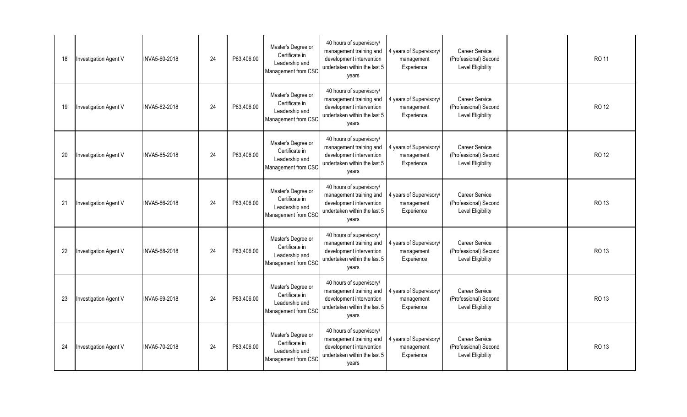| 18 | Investigation Agent V | INVA5-60-2018 | 24 | P83,406.00 | Master's Degree or<br>Certificate in<br>Leadership and<br>Management from CSC | 40 hours of supervisory/<br>management training and<br>development intervention<br>undertaken within the last 5<br>vears | 4 years of Supervisory/<br>management<br>Experience | Career Service<br>(Professional) Second<br>Level Eligibility        | <b>RO 11</b> |
|----|-----------------------|---------------|----|------------|-------------------------------------------------------------------------------|--------------------------------------------------------------------------------------------------------------------------|-----------------------------------------------------|---------------------------------------------------------------------|--------------|
| 19 | Investigation Agent V | INVA5-62-2018 | 24 | P83,406.00 | Master's Degree or<br>Certificate in<br>Leadership and<br>Management from CSC | 40 hours of supervisory/<br>management training and<br>development intervention<br>undertaken within the last 5<br>years | 4 years of Supervisory/<br>management<br>Experience | Career Service<br>(Professional) Second<br>Level Eligibility        | <b>RO 12</b> |
| 20 | Investigation Agent V | INVA5-65-2018 | 24 | P83,406.00 | Master's Degree or<br>Certificate in<br>Leadership and<br>Management from CSC | 40 hours of supervisory/<br>management training and<br>development intervention<br>undertaken within the last 5<br>years | 4 years of Supervisory/<br>management<br>Experience | Career Service<br>(Professional) Second<br>Level Eligibility        | <b>RO 12</b> |
| 21 | Investigation Agent V | INVA5-66-2018 | 24 | P83,406.00 | Master's Degree or<br>Certificate in<br>Leadership and<br>Management from CSC | 40 hours of supervisory/<br>management training and<br>development intervention<br>undertaken within the last 5<br>years | 4 years of Supervisory/<br>management<br>Experience | Career Service<br>(Professional) Second<br>Level Eligibility        | <b>RO 13</b> |
| 22 | Investigation Agent V | INVA5-68-2018 | 24 | P83,406.00 | Master's Degree or<br>Certificate in<br>Leadership and<br>Management from CSC | 40 hours of supervisory/<br>management training and<br>development intervention<br>undertaken within the last 5<br>years | 4 years of Supervisory/<br>management<br>Experience | Career Service<br>(Professional) Second<br><b>Level Eligibility</b> | <b>RO 13</b> |
| 23 | Investigation Agent V | INVA5-69-2018 | 24 | P83,406.00 | Master's Degree or<br>Certificate in<br>Leadership and<br>Management from CSC | 40 hours of supervisory/<br>management training and<br>development intervention<br>undertaken within the last 5<br>vears | 4 years of Supervisory/<br>management<br>Experience | Career Service<br>(Professional) Second<br>Level Eligibility        | <b>RO 13</b> |
| 24 | Investigation Agent V | INVA5-70-2018 | 24 | P83,406.00 | Master's Degree or<br>Certificate in<br>Leadership and<br>Management from CSC | 40 hours of supervisory/<br>management training and<br>development intervention<br>undertaken within the last 5<br>years | 4 years of Supervisory/<br>management<br>Experience | Career Service<br>(Professional) Second<br>Level Eligibility        | <b>RO 13</b> |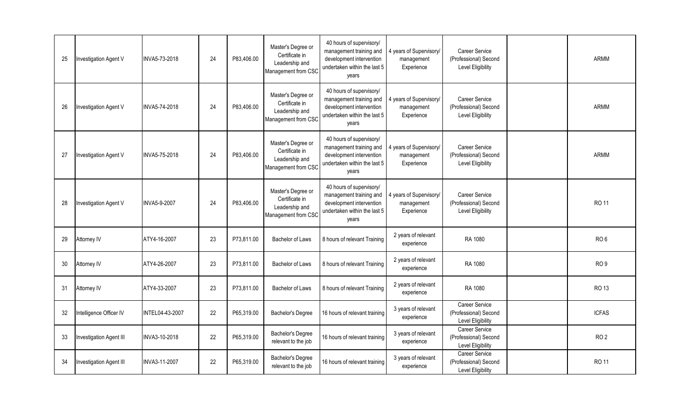| 25 | Investigation Agent V        | INVA5-73-2018   | 24 | P83,406.00 | Master's Degree or<br>Certificate in<br>Leadership and<br>Management from CSC | 40 hours of supervisory/<br>management training and<br>development intervention<br>undertaken within the last 5<br>years | 4 years of Supervisory/<br>management<br>Experience | <b>Career Service</b><br>(Professional) Second<br>Level Eligibility | ARMM            |
|----|------------------------------|-----------------|----|------------|-------------------------------------------------------------------------------|--------------------------------------------------------------------------------------------------------------------------|-----------------------------------------------------|---------------------------------------------------------------------|-----------------|
| 26 | Investigation Agent V        | INVA5-74-2018   | 24 | P83,406.00 | Master's Degree or<br>Certificate in<br>Leadership and<br>Management from CSC | 40 hours of supervisory/<br>management training and<br>development intervention<br>undertaken within the last 5<br>years | 4 years of Supervisory/<br>management<br>Experience | <b>Career Service</b><br>(Professional) Second<br>Level Eligibility | <b>ARMM</b>     |
| 27 | <b>Investigation Agent V</b> | INVA5-75-2018   | 24 | P83,406.00 | Master's Degree or<br>Certificate in<br>Leadership and<br>Management from CSC | 40 hours of supervisory/<br>management training and<br>development intervention<br>undertaken within the last 5<br>years | 4 years of Supervisory/<br>management<br>Experience | Career Service<br>(Professional) Second<br>Level Eligibility        | ARMM            |
| 28 | Investigation Agent V        | INVA5-9-2007    | 24 | P83,406.00 | Master's Degree or<br>Certificate in<br>Leadership and<br>Management from CSC | 40 hours of supervisory/<br>management training and<br>development intervention<br>undertaken within the last 5<br>years | 4 years of Supervisory/<br>management<br>Experience | <b>Career Service</b><br>(Professional) Second<br>Level Eligibility | <b>RO 11</b>    |
| 29 | Attorney IV                  | ATY4-16-2007    | 23 | P73,811.00 | <b>Bachelor of Laws</b>                                                       | 8 hours of relevant Training                                                                                             | 2 years of relevant<br>experience                   | RA 1080                                                             | RO <sub>6</sub> |
| 30 | Attorney IV                  | ATY4-26-2007    | 23 | P73,811.00 | <b>Bachelor of Laws</b>                                                       | 8 hours of relevant Training                                                                                             | 2 years of relevant<br>experience                   | RA 1080                                                             | RO <sub>9</sub> |
| 31 | Attorney IV                  | ATY4-33-2007    | 23 | P73,811.00 | <b>Bachelor of Laws</b>                                                       | 8 hours of relevant Training                                                                                             | 2 years of relevant<br>experience                   | RA 1080                                                             | <b>RO 13</b>    |
| 32 | Intelligence Officer IV      | INTEL04-43-2007 | 22 | P65,319.00 | Bachelor's Degree                                                             | 16 hours of relevant training                                                                                            | 3 years of relevant<br>experience                   | <b>Career Service</b><br>(Professional) Second<br>Level Eligibility | <b>ICFAS</b>    |
| 33 | Investigation Agent III      | INVA3-10-2018   | 22 | P65,319.00 | Bachelor's Degree<br>relevant to the job                                      | 16 hours of relevant training                                                                                            | 3 years of relevant<br>experience                   | Career Service<br>(Professional) Second<br>Level Eligibility        | RO <sub>2</sub> |
| 34 | Investigation Agent III      | INVA3-11-2007   | 22 | P65,319.00 | Bachelor's Degree<br>relevant to the job                                      | 16 hours of relevant training                                                                                            | 3 years of relevant<br>experience                   | <b>Career Service</b><br>(Professional) Second<br>Level Eligibility | <b>RO 11</b>    |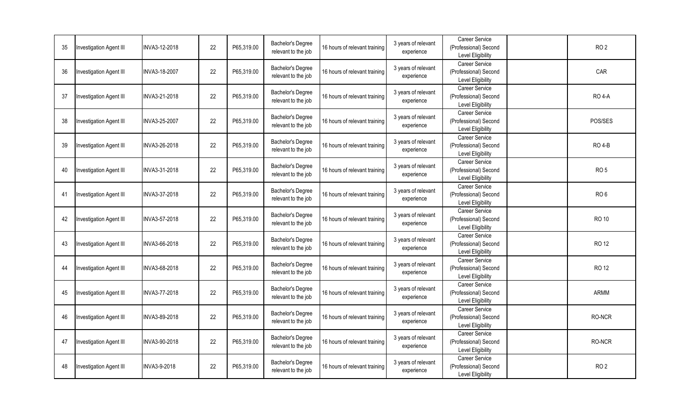| 35 | Investigation Agent III        | INVA3-12-2018 | 22 | P65,319.00 | Bachelor's Degree<br>relevant to the job | 16 hours of relevant training | 3 years of relevant<br>experience | Career Service<br>(Professional) Second<br>Level Eligibility        | RO <sub>2</sub> |
|----|--------------------------------|---------------|----|------------|------------------------------------------|-------------------------------|-----------------------------------|---------------------------------------------------------------------|-----------------|
| 36 | <b>Investigation Agent III</b> | INVA3-18-2007 | 22 | P65,319.00 | Bachelor's Degree<br>relevant to the job | 16 hours of relevant training | 3 years of relevant<br>experience | <b>Career Service</b><br>(Professional) Second<br>Level Eligibility | CAR             |
| 37 | <b>Investigation Agent III</b> | INVA3-21-2018 | 22 | P65,319.00 | Bachelor's Degree<br>relevant to the job | 16 hours of relevant training | 3 years of relevant<br>experience | <b>Career Service</b><br>(Professional) Second<br>Level Eligibility | <b>RO 4-A</b>   |
| 38 | <b>Investigation Agent III</b> | INVA3-25-2007 | 22 | P65,319.00 | Bachelor's Degree<br>relevant to the job | 16 hours of relevant training | 3 years of relevant<br>experience | <b>Career Service</b><br>(Professional) Second<br>Level Eligibility | POS/SES         |
| 39 | <b>Investigation Agent III</b> | INVA3-26-2018 | 22 | P65.319.00 | Bachelor's Degree<br>relevant to the job | 16 hours of relevant training | 3 years of relevant<br>experience | Career Service<br>(Professional) Second<br>Level Eligibility        | <b>RO 4-B</b>   |
| 40 | Investigation Agent III        | INVA3-31-2018 | 22 | P65,319.00 | Bachelor's Degree<br>relevant to the job | 16 hours of relevant training | 3 years of relevant<br>experience | Career Service<br>(Professional) Second<br>Level Eligibility        | RO <sub>5</sub> |
| 41 | <b>Investigation Agent III</b> | INVA3-37-2018 | 22 | P65,319.00 | Bachelor's Degree<br>relevant to the job | 16 hours of relevant training | 3 years of relevant<br>experience | <b>Career Service</b><br>(Professional) Second<br>Level Eligibility | RO <sub>6</sub> |
| 42 | Investigation Agent III        | INVA3-57-2018 | 22 | P65,319.00 | Bachelor's Degree<br>relevant to the job | 16 hours of relevant training | 3 years of relevant<br>experience | <b>Career Service</b><br>(Professional) Second<br>Level Eligibility | <b>RO 10</b>    |
| 43 | Investigation Agent III        | INVA3-66-2018 | 22 | P65,319.00 | Bachelor's Degree<br>relevant to the job | 16 hours of relevant training | 3 years of relevant<br>experience | Career Service<br>(Professional) Second<br>Level Eligibility        | RO 12           |
| 44 | Investigation Agent III        | INVA3-68-2018 | 22 | P65,319.00 | Bachelor's Degree<br>relevant to the job | 16 hours of relevant training | 3 years of relevant<br>experience | <b>Career Service</b><br>(Professional) Second<br>Level Eligibility | <b>RO 12</b>    |
| 45 | Investigation Agent III        | INVA3-77-2018 | 22 | P65,319.00 | Bachelor's Degree<br>relevant to the job | 16 hours of relevant training | 3 years of relevant<br>experience | <b>Career Service</b><br>(Professional) Second<br>Level Eligibility | ARMM            |
| 46 | Investigation Agent III        | INVA3-89-2018 | 22 | P65,319.00 | Bachelor's Degree<br>relevant to the job | 16 hours of relevant training | 3 years of relevant<br>experience | Career Service<br>(Professional) Second<br>Level Eligibility        | RO-NCR          |
| 47 | <b>Investigation Agent III</b> | INVA3-90-2018 | 22 | P65,319.00 | Bachelor's Degree<br>relevant to the job | 16 hours of relevant training | 3 years of relevant<br>experience | Career Service<br>(Professional) Second<br>Level Eligibility        | RO-NCR          |
| 48 | Investigation Agent III        | INVA3-9-2018  | 22 | P65,319.00 | Bachelor's Degree<br>relevant to the job | 16 hours of relevant training | 3 years of relevant<br>experience | <b>Career Service</b><br>(Professional) Second<br>Level Eligibility | RO <sub>2</sub> |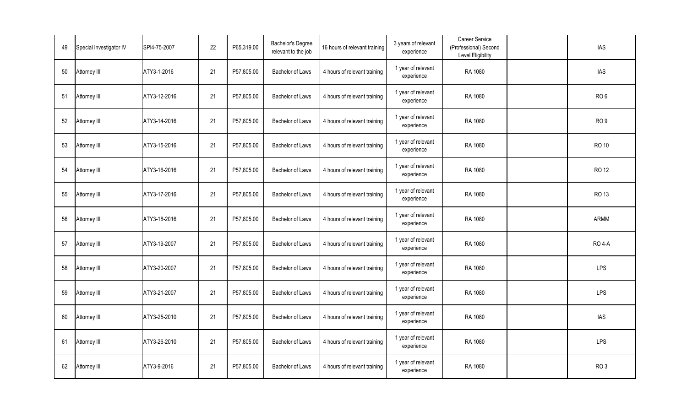| 49 | Special Investigator IV | SPI4-75-2007 | 22 | P65,319.00 | Bachelor's Degree<br>relevant to the job | 16 hours of relevant training | 3 years of relevant<br>experience | Career Service<br>(Professional) Second<br>Level Eligibility | <b>IAS</b>      |
|----|-------------------------|--------------|----|------------|------------------------------------------|-------------------------------|-----------------------------------|--------------------------------------------------------------|-----------------|
| 50 | Attorney III            | ATY3-1-2016  | 21 | P57,805.00 | Bachelor of Laws                         | 4 hours of relevant training  | 1 year of relevant<br>experience  | RA 1080                                                      | IAS             |
| 51 | Attorney III            | ATY3-12-2016 | 21 | P57,805.00 | Bachelor of Laws                         | 4 hours of relevant training  | 1 year of relevant<br>experience  | RA 1080                                                      | RO <sub>6</sub> |
| 52 | Attorney III            | ATY3-14-2016 | 21 | P57,805.00 | Bachelor of Laws                         | 4 hours of relevant training  | 1 year of relevant<br>experience  | RA 1080                                                      | RO <sub>9</sub> |
| 53 | Attorney III            | ATY3-15-2016 | 21 | P57,805.00 | <b>Bachelor of Laws</b>                  | 4 hours of relevant training  | 1 year of relevant<br>experience  | RA 1080                                                      | RO 10           |
| 54 | Attorney III            | ATY3-16-2016 | 21 | P57,805.00 | Bachelor of Laws                         | 4 hours of relevant training  | 1 year of relevant<br>experience  | RA 1080                                                      | RO 12           |
| 55 | Attorney III            | ATY3-17-2016 | 21 | P57,805.00 | Bachelor of Laws                         | 4 hours of relevant training  | 1 year of relevant<br>experience  | RA 1080                                                      | <b>RO 13</b>    |
| 56 | Attorney III            | ATY3-18-2016 | 21 | P57,805.00 | <b>Bachelor of Laws</b>                  | 4 hours of relevant training  | 1 year of relevant<br>experience  | RA 1080                                                      | <b>ARMM</b>     |
| 57 | Attorney III            | ATY3-19-2007 | 21 | P57,805.00 | Bachelor of Laws                         | 4 hours of relevant training  | 1 year of relevant<br>experience  | RA 1080                                                      | <b>RO 4-A</b>   |
| 58 | Attorney III            | ATY3-20-2007 | 21 | P57,805.00 | Bachelor of Laws                         | 4 hours of relevant training  | 1 year of relevant<br>experience  | RA 1080                                                      | <b>LPS</b>      |
| 59 | Attorney III            | ATY3-21-2007 | 21 | P57,805.00 | <b>Bachelor of Laws</b>                  | 4 hours of relevant training  | 1 year of relevant<br>experience  | RA 1080                                                      | LPS             |
| 60 | Attorney III            | ATY3-25-2010 | 21 | P57,805.00 | Bachelor of Laws                         | 4 hours of relevant training  | 1 year of relevant<br>experience  | RA 1080                                                      | IAS             |
| 61 | Attorney III            | ATY3-26-2010 | 21 | P57,805.00 | Bachelor of Laws                         | 4 hours of relevant training  | 1 year of relevant<br>experience  | RA 1080                                                      | <b>LPS</b>      |
| 62 | Attorney III            | ATY3-9-2016  | 21 | P57,805.00 | Bachelor of Laws                         | 4 hours of relevant training  | 1 year of relevant<br>experience  | RA 1080                                                      | RO <sub>3</sub> |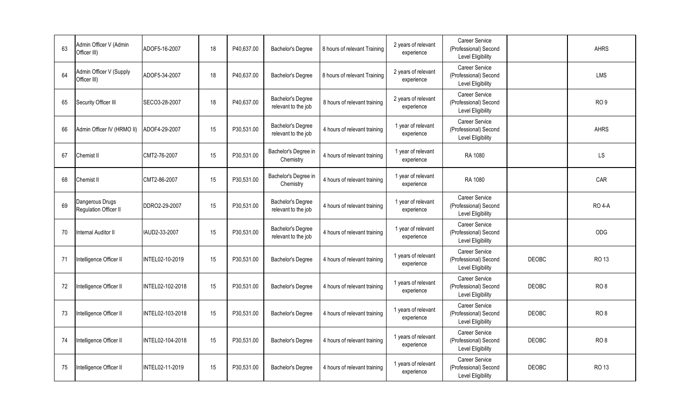| 63 | Admin Officer V (Admin<br>Officer III)   | ADOF5-16-2007          | 18 | P40,637.00 | Bachelor's Degree                        | 8 hours of relevant Training | 2 years of relevant<br>experience | <b>Career Service</b><br>(Professional) Second<br><b>Level Eligibility</b> |              | <b>AHRS</b>     |
|----|------------------------------------------|------------------------|----|------------|------------------------------------------|------------------------------|-----------------------------------|----------------------------------------------------------------------------|--------------|-----------------|
| 64 | Admin Officer V (Supply<br>Officer III)  | ADOF5-34-2007          | 18 | P40.637.00 | Bachelor's Degree                        | 8 hours of relevant Training | 2 years of relevant<br>experience | Career Service<br>(Professional) Second<br>Level Eligibility               |              | <b>LMS</b>      |
| 65 | Security Officer III                     | SECO3-28-2007          | 18 | P40,637.00 | Bachelor's Degree<br>relevant to the job | 8 hours of relevant training | 2 years of relevant<br>experience | Career Service<br>(Professional) Second<br>Level Eligibility               |              | RO <sub>9</sub> |
| 66 | Admin Officer IV (HRMO II)               | ADOF4-29-2007          | 15 | P30,531.00 | Bachelor's Degree<br>relevant to the job | 4 hours of relevant training | 1 year of relevant<br>experience  | Career Service<br>(Professional) Second<br><b>Level Eligibility</b>        |              | <b>AHRS</b>     |
| 67 | Chemist II                               | CMT2-76-2007           | 15 | P30,531.00 | Bachelor's Degree in<br>Chemistry        | 4 hours of relevant training | 1 year of relevant<br>experience  | RA 1080                                                                    |              | <b>LS</b>       |
| 68 | Chemist II                               | CMT2-86-2007           | 15 | P30,531.00 | Bachelor's Degree in<br>Chemistry        | 4 hours of relevant training | 1 year of relevant<br>experience  | RA 1080                                                                    |              | CAR             |
| 69 | Dangerous Drugs<br>Regulation Officer II | DDRO2-29-2007          | 15 | P30,531.00 | Bachelor's Degree<br>relevant to the job | 4 hours of relevant training | 1 year of relevant<br>experience  | Career Service<br>(Professional) Second<br><b>Level Eligibility</b>        |              | <b>RO 4-A</b>   |
| 70 | Internal Auditor II                      | IAUD2-33-2007          | 15 | P30,531.00 | Bachelor's Degree<br>relevant to the job | 4 hours of relevant training | 1 year of relevant<br>experience  | Career Service<br>(Professional) Second<br>Level Eligibility               |              | ODG             |
| 71 | Intelligence Officer II                  | <b>INTEL02-10-2019</b> | 15 | P30,531.00 | Bachelor's Degree                        | 4 hours of relevant training | 1 years of relevant<br>experience | <b>Career Service</b><br>(Professional) Second<br>Level Eligibility        | <b>DEOBC</b> | <b>RO 13</b>    |
| 72 | Intelligence Officer II                  | INTEL02-102-2018       | 15 | P30,531.00 | Bachelor's Degree                        | 4 hours of relevant training | 1 years of relevant<br>experience | Career Service<br>(Professional) Second<br>Level Eligibility               | <b>DEOBC</b> | RO <sub>8</sub> |
| 73 | Intelligence Officer II                  | INTEL02-103-2018       | 15 | P30,531.00 | Bachelor's Degree                        | 4 hours of relevant training | 1 years of relevant<br>experience | Career Service<br>(Professional) Second<br>Level Eligibility               | <b>DEOBC</b> | RO <sub>8</sub> |
| 74 | Intelligence Officer II                  | INTEL02-104-2018       | 15 | P30,531.00 | Bachelor's Degree                        | 4 hours of relevant training | 1 years of relevant<br>experience | Career Service<br>(Professional) Second<br>Level Eligibility               | <b>DEOBC</b> | RO <sub>8</sub> |
| 75 | Intelligence Officer II                  | INTEL02-11-2019        | 15 | P30,531.00 | Bachelor's Degree                        | 4 hours of relevant training | 1 years of relevant<br>experience | <b>Career Service</b><br>(Professional) Second<br>Level Eligibility        | DEOBC        | <b>RO 13</b>    |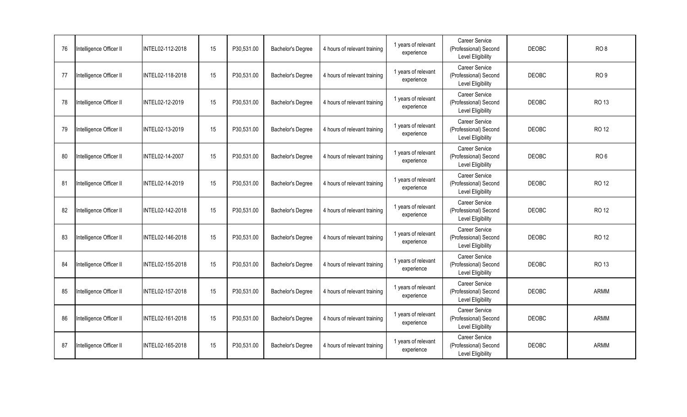| 76 | Intelligence Officer II | INTEL02-112-2018       | 15 | P30,531.00 | Bachelor's Degree | 4 hours of relevant training | 1 years of relevant<br>experience | Career Service<br>(Professional) Second<br><b>Level Eligibility</b> | <b>DEOBC</b> | RO <sub>8</sub> |
|----|-------------------------|------------------------|----|------------|-------------------|------------------------------|-----------------------------------|---------------------------------------------------------------------|--------------|-----------------|
| 77 | Intelligence Officer II | INTEL02-118-2018       | 15 | P30,531.00 | Bachelor's Degree | 4 hours of relevant training | 1 years of relevant<br>experience | Career Service<br>(Professional) Second<br>Level Eligibility        | <b>DEOBC</b> | RO <sub>9</sub> |
| 78 | Intelligence Officer II | INTEL02-12-2019        | 15 | P30,531.00 | Bachelor's Degree | 4 hours of relevant training | 1 years of relevant<br>experience | <b>Career Service</b><br>(Professional) Second<br>Level Eligibility | <b>DEOBC</b> | <b>RO 13</b>    |
| 79 | Intelligence Officer II | <b>INTEL02-13-2019</b> | 15 | P30,531.00 | Bachelor's Degree | 4 hours of relevant training | 1 years of relevant<br>experience | Career Service<br>(Professional) Second<br><b>Level Eligibility</b> | <b>DEOBC</b> | <b>RO 12</b>    |
| 80 | Intelligence Officer II | INTEL02-14-2007        | 15 | P30,531.00 | Bachelor's Degree | 4 hours of relevant training | 1 years of relevant<br>experience | Career Service<br>(Professional) Second<br>Level Eligibility        | <b>DEOBC</b> | RO <sub>6</sub> |
| 81 | Intelligence Officer II | INTEL02-14-2019        | 15 | P30,531.00 | Bachelor's Degree | 4 hours of relevant training | 1 years of relevant<br>experience | Career Service<br>(Professional) Second<br>Level Eligibility        | <b>DEOBC</b> | RO 12           |
| 82 | Intelligence Officer II | INTEL02-142-2018       | 15 | P30,531.00 | Bachelor's Degree | 4 hours of relevant training | 1 years of relevant<br>experience | Career Service<br>(Professional) Second<br>Level Eligibility        | <b>DEOBC</b> | <b>RO 12</b>    |
| 83 | Intelligence Officer II | INTEL02-146-2018       | 15 | P30,531.00 | Bachelor's Degree | 4 hours of relevant training | 1 years of relevant<br>experience | Career Service<br>(Professional) Second<br>Level Eligibility        | <b>DEOBC</b> | <b>RO 12</b>    |
| 84 | Intelligence Officer II | INTEL02-155-2018       | 15 | P30,531.00 | Bachelor's Degree | 4 hours of relevant training | 1 years of relevant<br>experience | Career Service<br>(Professional) Second<br>Level Eligibility        | <b>DEOBC</b> | <b>RO 13</b>    |
| 85 | Intelligence Officer II | INTEL02-157-2018       | 15 | P30,531.00 | Bachelor's Degree | 4 hours of relevant training | 1 years of relevant<br>experience | Career Service<br>(Professional) Second<br><b>Level Eligibility</b> | <b>DEOBC</b> | <b>ARMM</b>     |
| 86 | Intelligence Officer II | INTEL02-161-2018       | 15 | P30,531.00 | Bachelor's Degree | 4 hours of relevant training | 1 years of relevant<br>experience | Career Service<br>(Professional) Second<br>Level Eligibility        | <b>DEOBC</b> | ARMM            |
| 87 | Intelligence Officer II | INTEL02-165-2018       | 15 | P30,531.00 | Bachelor's Degree | 4 hours of relevant training | 1 years of relevant<br>experience | Career Service<br>(Professional) Second<br>Level Eligibility        | <b>DEOBC</b> | <b>ARMM</b>     |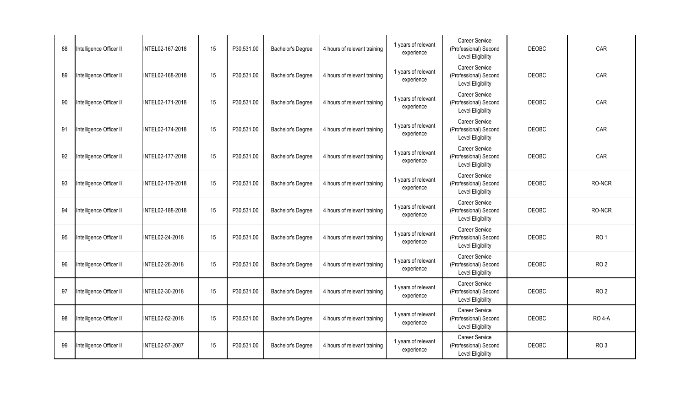| 88 | Intelligence Officer II | INTEL02-167-2018 | 15 | P30,531.00 | Bachelor's Degree | 4 hours of relevant training | 1 years of relevant<br>experience | Career Service<br>(Professional) Second<br><b>Level Eligibility</b> | <b>DEOBC</b> | CAR             |
|----|-------------------------|------------------|----|------------|-------------------|------------------------------|-----------------------------------|---------------------------------------------------------------------|--------------|-----------------|
| 89 | Intelligence Officer II | INTEL02-168-2018 | 15 | P30,531.00 | Bachelor's Degree | 4 hours of relevant training | 1 years of relevant<br>experience | Career Service<br>(Professional) Second<br>Level Eligibility        | <b>DEOBC</b> | CAR             |
| 90 | Intelligence Officer II | INTEL02-171-2018 | 15 | P30,531.00 | Bachelor's Degree | 4 hours of relevant training | 1 years of relevant<br>experience | <b>Career Service</b><br>(Professional) Second<br>Level Eligibility | <b>DEOBC</b> | CAR             |
| 91 | Intelligence Officer II | INTEL02-174-2018 | 15 | P30,531.00 | Bachelor's Degree | 4 hours of relevant training | 1 years of relevant<br>experience | Career Service<br>(Professional) Second<br><b>Level Eligibility</b> | <b>DEOBC</b> | CAR             |
| 92 | Intelligence Officer II | INTEL02-177-2018 | 15 | P30,531.00 | Bachelor's Degree | 4 hours of relevant training | 1 years of relevant<br>experience | Career Service<br>(Professional) Second<br>Level Eligibility        | <b>DEOBC</b> | CAR             |
| 93 | Intelligence Officer II | INTEL02-179-2018 | 15 | P30,531.00 | Bachelor's Degree | 4 hours of relevant training | 1 years of relevant<br>experience | Career Service<br>(Professional) Second<br>Level Eligibility        | <b>DEOBC</b> | RO-NCR          |
| 94 | Intelligence Officer II | INTEL02-188-2018 | 15 | P30,531.00 | Bachelor's Degree | 4 hours of relevant training | 1 years of relevant<br>experience | Career Service<br>(Professional) Second<br>Level Eligibility        | <b>DEOBC</b> | RO-NCR          |
| 95 | Intelligence Officer II | INTEL02-24-2018  | 15 | P30,531.00 | Bachelor's Degree | 4 hours of relevant training | 1 years of relevant<br>experience | Career Service<br>(Professional) Second<br>Level Eligibility        | <b>DEOBC</b> | RO <sub>1</sub> |
| 96 | Intelligence Officer II | INTEL02-26-2018  | 15 | P30,531.00 | Bachelor's Degree | 4 hours of relevant training | 1 years of relevant<br>experience | Career Service<br>(Professional) Second<br>Level Eligibility        | <b>DEOBC</b> | RO <sub>2</sub> |
| 97 | Intelligence Officer II | INTEL02-30-2018  | 15 | P30,531.00 | Bachelor's Degree | 4 hours of relevant training | 1 years of relevant<br>experience | Career Service<br>(Professional) Second<br><b>Level Eligibility</b> | <b>DEOBC</b> | RO <sub>2</sub> |
| 98 | Intelligence Officer II | INTEL02-52-2018  | 15 | P30,531.00 | Bachelor's Degree | 4 hours of relevant training | 1 years of relevant<br>experience | Career Service<br>(Professional) Second<br>Level Eligibility        | <b>DEOBC</b> | <b>RO 4-A</b>   |
| 99 | Intelligence Officer II | INTEL02-57-2007  | 15 | P30,531.00 | Bachelor's Degree | 4 hours of relevant training | 1 years of relevant<br>experience | Career Service<br>(Professional) Second<br>Level Eligibility        | <b>DEOBC</b> | RO <sub>3</sub> |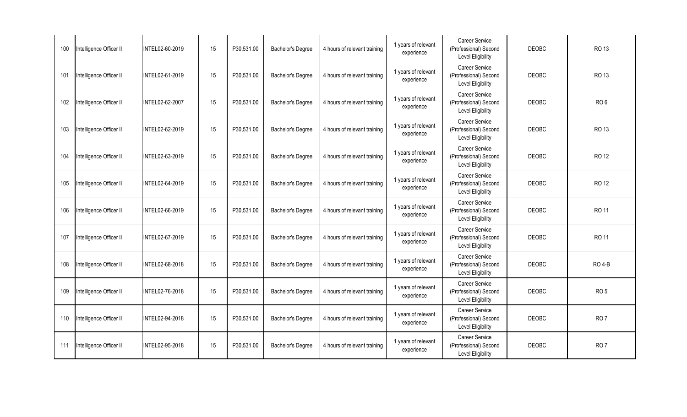| 100 | Intelligence Officer II | INTEL02-60-2019        | 15 | P30,531.00 | Bachelor's Degree | 4 hours of relevant training | 1 years of relevant<br>experience | Career Service<br>(Professional) Second<br><b>Level Eligibility</b> | <b>DEOBC</b> | <b>RO 13</b>    |
|-----|-------------------------|------------------------|----|------------|-------------------|------------------------------|-----------------------------------|---------------------------------------------------------------------|--------------|-----------------|
| 101 | Intelligence Officer II | INTEL02-61-2019        | 15 | P30,531.00 | Bachelor's Degree | 4 hours of relevant training | 1 years of relevant<br>experience | Career Service<br>(Professional) Second<br>Level Eligibility        | <b>DEOBC</b> | <b>RO 13</b>    |
| 102 | Intelligence Officer II | <b>INTEL02-62-2007</b> | 15 | P30,531.00 | Bachelor's Degree | 4 hours of relevant training | 1 years of relevant<br>experience | <b>Career Service</b><br>(Professional) Second<br>Level Eligibility | <b>DEOBC</b> | RO <sub>6</sub> |
| 103 | Intelligence Officer II | INTEL02-62-2019        | 15 | P30,531.00 | Bachelor's Degree | 4 hours of relevant training | 1 years of relevant<br>experience | Career Service<br>(Professional) Second<br><b>Level Eligibility</b> | <b>DEOBC</b> | RO 13           |
| 104 | Intelligence Officer II | <b>INTEL02-63-2019</b> | 15 | P30,531.00 | Bachelor's Degree | 4 hours of relevant training | 1 years of relevant<br>experience | Career Service<br>(Professional) Second<br>Level Eligibility        | <b>DEOBC</b> | <b>RO 12</b>    |
| 105 | Intelligence Officer II | INTEL02-64-2019        | 15 | P30,531.00 | Bachelor's Degree | 4 hours of relevant training | 1 years of relevant<br>experience | Career Service<br>(Professional) Second<br>Level Eligibility        | <b>DEOBC</b> | <b>RO 12</b>    |
| 106 | Intelligence Officer II | INTEL02-66-2019        | 15 | P30,531.00 | Bachelor's Degree | 4 hours of relevant training | 1 years of relevant<br>experience | Career Service<br>(Professional) Second<br>Level Eligibility        | <b>DEOBC</b> | <b>RO 11</b>    |
| 107 | Intelligence Officer II | INTEL02-67-2019        | 15 | P30,531.00 | Bachelor's Degree | 4 hours of relevant training | 1 years of relevant<br>experience | Career Service<br>(Professional) Second<br>Level Eligibility        | <b>DEOBC</b> | <b>RO 11</b>    |
| 108 | Intelligence Officer II | INTEL02-68-2018        | 15 | P30,531.00 | Bachelor's Degree | 4 hours of relevant training | 1 years of relevant<br>experience | Career Service<br>(Professional) Second<br>Level Eligibility        | <b>DEOBC</b> | <b>RO 4-B</b>   |
| 109 | Intelligence Officer II | <b>INTEL02-76-2018</b> | 15 | P30,531.00 | Bachelor's Degree | 4 hours of relevant training | 1 years of relevant<br>experience | Career Service<br>(Professional) Second<br><b>Level Eligibility</b> | <b>DEOBC</b> | RO <sub>5</sub> |
| 110 | Intelligence Officer II | INTEL02-94-2018        | 15 | P30,531.00 | Bachelor's Degree | 4 hours of relevant training | 1 years of relevant<br>experience | Career Service<br>(Professional) Second<br>Level Eligibility        | <b>DEOBC</b> | RO <sub>7</sub> |
| 111 | Intelligence Officer II | INTEL02-95-2018        | 15 | P30,531.00 | Bachelor's Degree | 4 hours of relevant training | 1 years of relevant<br>experience | Career Service<br>(Professional) Second<br>Level Eligibility        | <b>DEOBC</b> | RO <sub>7</sub> |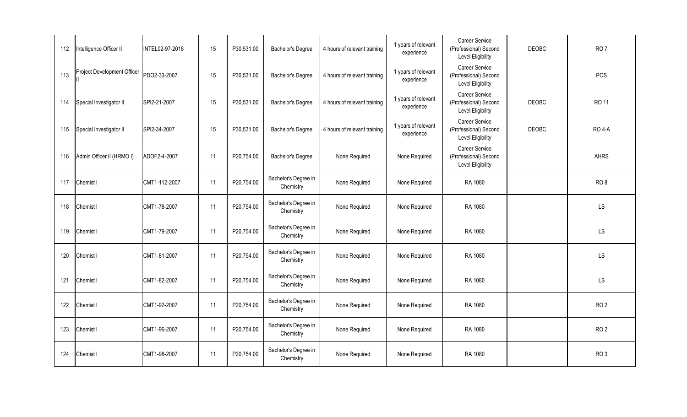| 112 | Intelligence Officer II     | <b>INTEL02-97-2018</b> | 15 | P30,531.00 | Bachelor's Degree                 | 4 hours of relevant training | 1 years of relevant<br>experience | Career Service<br>(Professional) Second<br>Level Eligibility | <b>DEOBC</b> | RO <sub>7</sub> |
|-----|-----------------------------|------------------------|----|------------|-----------------------------------|------------------------------|-----------------------------------|--------------------------------------------------------------|--------------|-----------------|
| 113 | Project Development Officer | PDO2-33-2007           | 15 | P30,531.00 | Bachelor's Degree                 | 4 hours of relevant training | 1 years of relevant<br>experience | Career Service<br>(Professional) Second<br>Level Eligibility |              | POS             |
| 114 | Special Investigator II     | SPI2-21-2007           | 15 | P30,531.00 | Bachelor's Degree                 | 4 hours of relevant training | 1 years of relevant<br>experience | Career Service<br>(Professional) Second<br>Level Eligibility | <b>DEOBC</b> | <b>RO 11</b>    |
| 115 | Special Investigator II     | SPI2-34-2007           | 15 | P30,531.00 | Bachelor's Degree                 | 4 hours of relevant training | 1 years of relevant<br>experience | Career Service<br>(Professional) Second<br>Level Eligibility | <b>DEOBC</b> | <b>RO 4-A</b>   |
| 116 | Admin Officer II (HRMO I)   | ADOF2-4-2007           | 11 | P20,754.00 | Bachelor's Degree                 | None Required                | None Required                     | Career Service<br>(Professional) Second<br>Level Eligibility |              | <b>AHRS</b>     |
| 117 | Chemist I                   | CMT1-112-2007          | 11 | P20,754.00 | Bachelor's Degree in<br>Chemistry | None Required                | None Required                     | RA 1080                                                      |              | RO <sub>8</sub> |
| 118 | Chemist I                   | CMT1-78-2007           | 11 | P20,754.00 | Bachelor's Degree in<br>Chemistry | None Required                | None Required                     | RA 1080                                                      |              | LS              |
| 119 | Chemist I                   | CMT1-79-2007           | 11 | P20,754.00 | Bachelor's Degree in<br>Chemistry | None Required                | None Required                     | RA 1080                                                      |              | LS              |
| 120 | Chemist I                   | CMT1-81-2007           | 11 | P20,754.00 | Bachelor's Degree in<br>Chemistry | None Required                | None Required                     | RA 1080                                                      |              | <b>LS</b>       |
| 121 | Chemist I                   | CMT1-82-2007           | 11 | P20,754.00 | Bachelor's Degree in<br>Chemistry | None Required                | None Required                     | RA 1080                                                      |              | LS              |
| 122 | Chemist I                   | CMT1-92-2007           | 11 | P20,754.00 | Bachelor's Degree in<br>Chemistry | None Required                | None Required                     | RA 1080                                                      |              | RO <sub>2</sub> |
| 123 | Chemist I                   | CMT1-96-2007           | 11 | P20,754.00 | Bachelor's Degree in<br>Chemistry | None Required                | None Required                     | RA 1080                                                      |              | RO <sub>2</sub> |
| 124 | Chemist I                   | CMT1-98-2007           | 11 | P20,754.00 | Bachelor's Degree in<br>Chemistry | None Required                | None Required                     | RA 1080                                                      |              | RO <sub>3</sub> |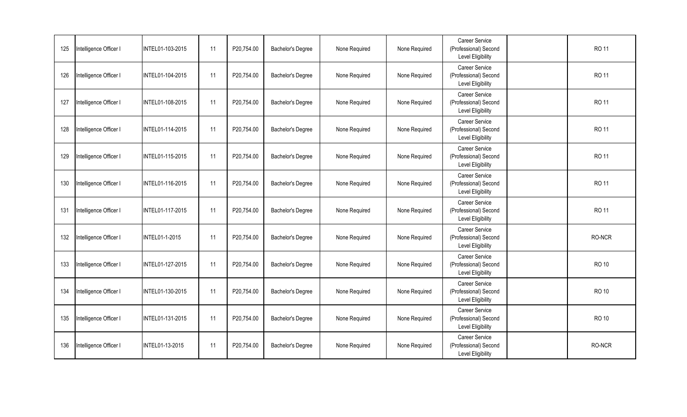| 125 | Intelligence Officer I | INTEL01-103-2015      | 11 | P20,754.00 | Bachelor's Degree | None Required | None Required | <b>Career Service</b><br>(Professional) Second<br>Level Eligibility | <b>RO 11</b> |
|-----|------------------------|-----------------------|----|------------|-------------------|---------------|---------------|---------------------------------------------------------------------|--------------|
| 126 | Intelligence Officer I | INTEL01-104-2015      | 11 | P20,754.00 | Bachelor's Degree | None Required | None Required | Career Service<br>(Professional) Second<br><b>Level Eligibility</b> | <b>RO 11</b> |
| 127 | Intelligence Officer I | INTEL01-108-2015      | 11 | P20,754.00 | Bachelor's Degree | None Required | None Required | Career Service<br>(Professional) Second<br><b>Level Eligibility</b> | <b>RO 11</b> |
| 128 | Intelligence Officer I | INTEL01-114-2015      | 11 | P20,754.00 | Bachelor's Degree | None Required | None Required | Career Service<br>(Professional) Second<br>Level Eligibility        | <b>RO 11</b> |
| 129 | Intelligence Officer I | INTEL01-115-2015      | 11 | P20,754.00 | Bachelor's Degree | None Required | None Required | Career Service<br>(Professional) Second<br>Level Eligibility        | <b>RO 11</b> |
| 130 | Intelligence Officer I | INTEL01-116-2015      | 11 | P20,754.00 | Bachelor's Degree | None Required | None Required | Career Service<br>(Professional) Second<br>Level Eligibility        | <b>RO 11</b> |
| 131 | Intelligence Officer I | INTEL01-117-2015      | 11 | P20,754.00 | Bachelor's Degree | None Required | None Required | Career Service<br>(Professional) Second<br>Level Eligibility        | <b>RO 11</b> |
| 132 | Intelligence Officer I | <b>INTEL01-1-2015</b> | 11 | P20,754.00 | Bachelor's Degree | None Required | None Required | Career Service<br>(Professional) Second<br>Level Eligibility        | RO-NCR       |
| 133 | Intelligence Officer I | INTEL01-127-2015      | 11 | P20,754.00 | Bachelor's Degree | None Required | None Required | Career Service<br>(Professional) Second<br><b>Level Eligibility</b> | <b>RO 10</b> |
| 134 | Intelligence Officer I | INTEL01-130-2015      | 11 | P20,754.00 | Bachelor's Degree | None Required | None Required | Career Service<br>(Professional) Second<br><b>Level Eligibility</b> | <b>RO 10</b> |
| 135 | Intelligence Officer I | INTEL01-131-2015      | 11 | P20,754.00 | Bachelor's Degree | None Required | None Required | Career Service<br>(Professional) Second<br>Level Eligibility        | <b>RO 10</b> |
| 136 | Intelligence Officer I | INTEL01-13-2015       | 11 | P20,754.00 | Bachelor's Degree | None Required | None Required | Career Service<br>(Professional) Second<br>Level Eligibility        | RO-NCR       |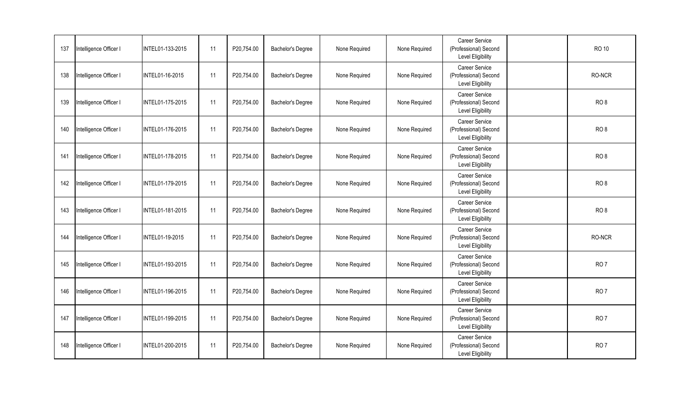| 137 | Intelligence Officer I | INTEL01-133-2015 | 11 | P20,754.00 | Bachelor's Degree | None Required | None Required | <b>Career Service</b><br>(Professional) Second<br>Level Eligibility | <b>RO 10</b>    |
|-----|------------------------|------------------|----|------------|-------------------|---------------|---------------|---------------------------------------------------------------------|-----------------|
| 138 | Intelligence Officer I | INTEL01-16-2015  | 11 | P20,754.00 | Bachelor's Degree | None Required | None Required | Career Service<br>(Professional) Second<br><b>Level Eligibility</b> | RO-NCR          |
| 139 | Intelligence Officer I | INTEL01-175-2015 | 11 | P20,754.00 | Bachelor's Degree | None Required | None Required | Career Service<br>(Professional) Second<br><b>Level Eligibility</b> | RO <sub>8</sub> |
| 140 | Intelligence Officer I | INTEL01-176-2015 | 11 | P20,754.00 | Bachelor's Degree | None Required | None Required | Career Service<br>(Professional) Second<br>Level Eligibility        | RO <sub>8</sub> |
| 141 | Intelligence Officer I | INTEL01-178-2015 | 11 | P20,754.00 | Bachelor's Degree | None Required | None Required | Career Service<br>(Professional) Second<br><b>Level Eligibility</b> | RO <sub>8</sub> |
| 142 | Intelligence Officer I | INTEL01-179-2015 | 11 | P20,754.00 | Bachelor's Degree | None Required | None Required | Career Service<br>(Professional) Second<br>Level Eligibility        | RO <sub>8</sub> |
| 143 | Intelligence Officer I | INTEL01-181-2015 | 11 | P20,754.00 | Bachelor's Degree | None Required | None Required | Career Service<br>(Professional) Second<br>Level Eligibility        | RO <sub>8</sub> |
| 144 | Intelligence Officer I | INTEL01-19-2015  | 11 | P20,754.00 | Bachelor's Degree | None Required | None Required | Career Service<br>(Professional) Second<br>Level Eligibility        | RO-NCR          |
| 145 | Intelligence Officer I | INTEL01-193-2015 | 11 | P20,754.00 | Bachelor's Degree | None Required | None Required | Career Service<br>(Professional) Second<br><b>Level Eligibility</b> | RO <sub>7</sub> |
| 146 | Intelligence Officer I | INTEL01-196-2015 | 11 | P20,754.00 | Bachelor's Degree | None Required | None Required | Career Service<br>(Professional) Second<br><b>Level Eligibility</b> | RO <sub>7</sub> |
| 147 | Intelligence Officer I | INTEL01-199-2015 | 11 | P20,754.00 | Bachelor's Degree | None Required | None Required | Career Service<br>(Professional) Second<br>Level Eligibility        | <b>RO7</b>      |
| 148 | Intelligence Officer I | INTEL01-200-2015 | 11 | P20,754.00 | Bachelor's Degree | None Required | None Required | Career Service<br>(Professional) Second<br><b>Level Eligibility</b> | RO <sub>7</sub> |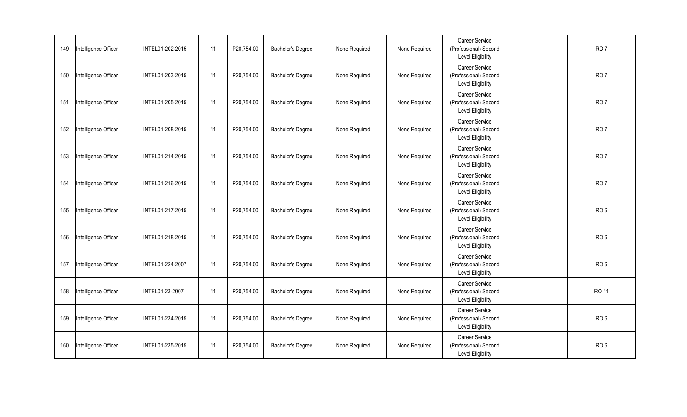| 149 | Intelligence Officer I | INTEL01-202-2015 | 11 | P20,754.00 | Bachelor's Degree | None Required | None Required | <b>Career Service</b><br>(Professional) Second<br><b>Level Eligibility</b> | RO <sub>7</sub> |
|-----|------------------------|------------------|----|------------|-------------------|---------------|---------------|----------------------------------------------------------------------------|-----------------|
| 150 | Intelligence Officer I | INTEL01-203-2015 | 11 | P20,754.00 | Bachelor's Degree | None Required | None Required | Career Service<br>(Professional) Second<br>Level Eligibility               | RO <sub>7</sub> |
| 151 | Intelligence Officer I | INTEL01-205-2015 | 11 | P20,754.00 | Bachelor's Degree | None Required | None Required | Career Service<br>(Professional) Second<br><b>Level Eligibility</b>        | RO <sub>7</sub> |
| 152 | Intelligence Officer I | INTEL01-208-2015 | 11 | P20,754.00 | Bachelor's Degree | None Required | None Required | Career Service<br>(Professional) Second<br>Level Eligibility               | RO <sub>7</sub> |
| 153 | Intelligence Officer I | INTEL01-214-2015 | 11 | P20,754.00 | Bachelor's Degree | None Required | None Required | Career Service<br>(Professional) Second<br>Level Eligibility               | RO <sub>7</sub> |
| 154 | Intelligence Officer I | INTEL01-216-2015 | 11 | P20,754.00 | Bachelor's Degree | None Required | None Required | Career Service<br>(Professional) Second<br>Level Eligibility               | RO <sub>7</sub> |
| 155 | Intelligence Officer I | INTEL01-217-2015 | 11 | P20,754.00 | Bachelor's Degree | None Required | None Required | Career Service<br>(Professional) Second<br>Level Eligibility               | RO <sub>6</sub> |
| 156 | Intelligence Officer I | INTEL01-218-2015 | 11 | P20,754.00 | Bachelor's Degree | None Required | None Required | Career Service<br>(Professional) Second<br><b>Level Eligibility</b>        | RO <sub>6</sub> |
| 157 | Intelligence Officer I | INTEL01-224-2007 | 11 | P20,754.00 | Bachelor's Degree | None Required | None Required | Career Service<br>(Professional) Second<br><b>Level Eligibility</b>        | RO <sub>6</sub> |
| 158 | Intelligence Officer I | INTEL01-23-2007  | 11 | P20,754.00 | Bachelor's Degree | None Required | None Required | Career Service<br>(Professional) Second<br><b>Level Eligibility</b>        | <b>RO 11</b>    |
| 159 | Intelligence Officer I | INTEL01-234-2015 | 11 | P20,754.00 | Bachelor's Degree | None Required | None Required | Career Service<br>(Professional) Second<br><b>Level Eligibility</b>        | RO <sub>6</sub> |
| 160 | Intelligence Officer I | INTEL01-235-2015 | 11 | P20,754.00 | Bachelor's Degree | None Required | None Required | Career Service<br>(Professional) Second<br>Level Eligibility               | RO <sub>6</sub> |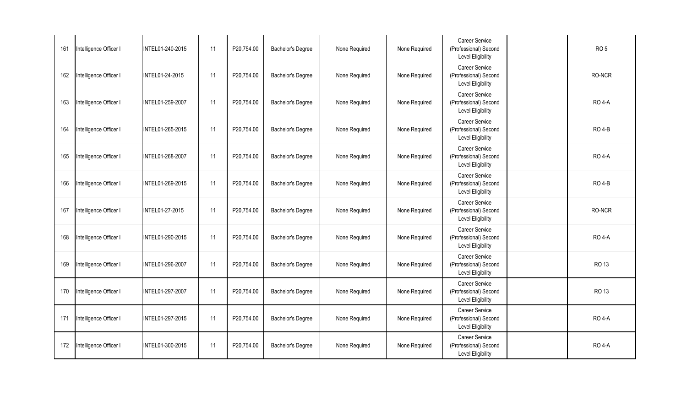| 161 | Intelligence Officer I | INTEL01-240-2015 | 11 | P20,754.00 | Bachelor's Degree | None Required | None Required | <b>Career Service</b><br>(Professional) Second<br>Level Eligibility | RO <sub>5</sub> |
|-----|------------------------|------------------|----|------------|-------------------|---------------|---------------|---------------------------------------------------------------------|-----------------|
| 162 | Intelligence Officer I | INTEL01-24-2015  | 11 | P20,754.00 | Bachelor's Degree | None Required | None Required | Career Service<br>(Professional) Second<br><b>Level Eligibility</b> | RO-NCR          |
| 163 | Intelligence Officer I | INTEL01-259-2007 | 11 | P20,754.00 | Bachelor's Degree | None Required | None Required | Career Service<br>(Professional) Second<br><b>Level Eligibility</b> | <b>RO 4-A</b>   |
| 164 | Intelligence Officer I | INTEL01-265-2015 | 11 | P20,754.00 | Bachelor's Degree | None Required | None Required | Career Service<br>(Professional) Second<br>Level Eligibility        | <b>RO 4-B</b>   |
| 165 | Intelligence Officer I | INTEL01-268-2007 | 11 | P20,754.00 | Bachelor's Degree | None Required | None Required | Career Service<br>(Professional) Second<br><b>Level Eligibility</b> | <b>RO 4-A</b>   |
| 166 | Intelligence Officer I | INTEL01-269-2015 | 11 | P20,754.00 | Bachelor's Degree | None Required | None Required | Career Service<br>(Professional) Second<br>Level Eligibility        | <b>RO 4-B</b>   |
| 167 | Intelligence Officer I | INTEL01-27-2015  | 11 | P20,754.00 | Bachelor's Degree | None Required | None Required | Career Service<br>(Professional) Second<br>Level Eligibility        | RO-NCR          |
| 168 | Intelligence Officer I | INTEL01-290-2015 | 11 | P20,754.00 | Bachelor's Degree | None Required | None Required | Career Service<br>(Professional) Second<br><b>Level Eligibility</b> | <b>RO 4-A</b>   |
| 169 | Intelligence Officer I | INTEL01-296-2007 | 11 | P20,754.00 | Bachelor's Degree | None Required | None Required | Career Service<br>(Professional) Second<br><b>Level Eligibility</b> | <b>RO 13</b>    |
| 170 | Intelligence Officer I | INTEL01-297-2007 | 11 | P20,754.00 | Bachelor's Degree | None Required | None Required | Career Service<br>(Professional) Second<br><b>Level Eligibility</b> | <b>RO 13</b>    |
| 171 | Intelligence Officer I | INTEL01-297-2015 | 11 | P20,754.00 | Bachelor's Degree | None Required | None Required | Career Service<br>(Professional) Second<br>Level Eligibility        | <b>RO 4-A</b>   |
| 172 | Intelligence Officer I | INTEL01-300-2015 | 11 | P20,754.00 | Bachelor's Degree | None Required | None Required | Career Service<br>(Professional) Second<br>Level Eligibility        | <b>RO 4-A</b>   |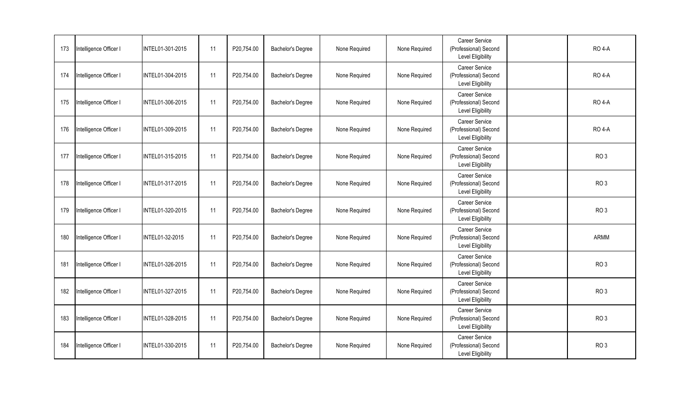| 173 | Intelligence Officer I | INTEL01-301-2015 | 11 | P20,754.00 | Bachelor's Degree | None Required | None Required | <b>Career Service</b><br>(Professional) Second<br>Level Eligibility | <b>RO 4-A</b>   |
|-----|------------------------|------------------|----|------------|-------------------|---------------|---------------|---------------------------------------------------------------------|-----------------|
| 174 | Intelligence Officer I | INTEL01-304-2015 | 11 | P20,754.00 | Bachelor's Degree | None Required | None Required | Career Service<br>(Professional) Second<br><b>Level Eligibility</b> | <b>RO 4-A</b>   |
| 175 | Intelligence Officer I | INTEL01-306-2015 | 11 | P20,754.00 | Bachelor's Degree | None Required | None Required | Career Service<br>(Professional) Second<br><b>Level Eligibility</b> | <b>RO 4-A</b>   |
| 176 | Intelligence Officer I | INTEL01-309-2015 | 11 | P20,754.00 | Bachelor's Degree | None Required | None Required | Career Service<br>(Professional) Second<br>Level Eligibility        | <b>RO 4-A</b>   |
| 177 | Intelligence Officer I | INTEL01-315-2015 | 11 | P20,754.00 | Bachelor's Degree | None Required | None Required | Career Service<br>(Professional) Second<br><b>Level Eligibility</b> | RO <sub>3</sub> |
| 178 | Intelligence Officer I | INTEL01-317-2015 | 11 | P20,754.00 | Bachelor's Degree | None Required | None Required | Career Service<br>(Professional) Second<br>Level Eligibility        | RO <sub>3</sub> |
| 179 | Intelligence Officer I | INTEL01-320-2015 | 11 | P20,754.00 | Bachelor's Degree | None Required | None Required | Career Service<br>(Professional) Second<br>Level Eligibility        | RO <sub>3</sub> |
| 180 | Intelligence Officer I | INTEL01-32-2015  | 11 | P20,754.00 | Bachelor's Degree | None Required | None Required | Career Service<br>(Professional) Second<br>Level Eligibility        | ARMM            |
| 181 | Intelligence Officer I | INTEL01-326-2015 | 11 | P20,754.00 | Bachelor's Degree | None Required | None Required | Career Service<br>(Professional) Second<br><b>Level Eligibility</b> | RO <sub>3</sub> |
| 182 | Intelligence Officer I | INTEL01-327-2015 | 11 | P20,754.00 | Bachelor's Degree | None Required | None Required | Career Service<br>(Professional) Second<br><b>Level Eligibility</b> | RO <sub>3</sub> |
| 183 | Intelligence Officer I | INTEL01-328-2015 | 11 | P20,754.00 | Bachelor's Degree | None Required | None Required | Career Service<br>(Professional) Second<br>Level Eligibility        | RO <sub>3</sub> |
| 184 | Intelligence Officer I | INTEL01-330-2015 | 11 | P20,754.00 | Bachelor's Degree | None Required | None Required | Career Service<br>(Professional) Second<br><b>Level Eligibility</b> | RO <sub>3</sub> |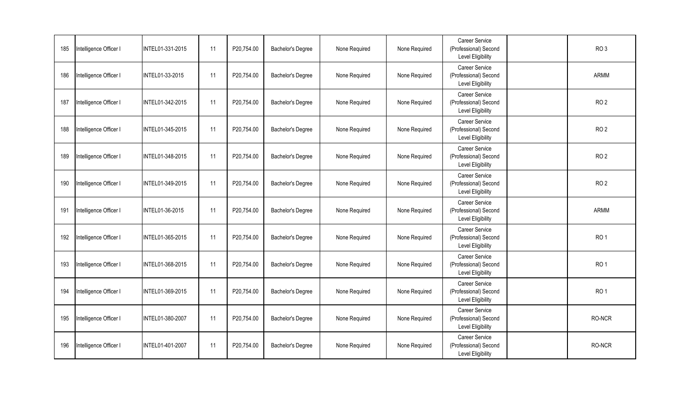| 185 | Intelligence Officer I | INTEL01-331-2015 | 11 | P20,754.00 | Bachelor's Degree | None Required | None Required | <b>Career Service</b><br>(Professional) Second<br><b>Level Eligibility</b> | RO <sub>3</sub> |
|-----|------------------------|------------------|----|------------|-------------------|---------------|---------------|----------------------------------------------------------------------------|-----------------|
| 186 | Intelligence Officer I | INTEL01-33-2015  | 11 | P20,754.00 | Bachelor's Degree | None Required | None Required | Career Service<br>(Professional) Second<br>Level Eligibility               | <b>ARMM</b>     |
| 187 | Intelligence Officer I | INTEL01-342-2015 | 11 | P20,754.00 | Bachelor's Degree | None Required | None Required | Career Service<br>(Professional) Second<br><b>Level Eligibility</b>        | RO <sub>2</sub> |
| 188 | Intelligence Officer I | INTEL01-345-2015 | 11 | P20,754.00 | Bachelor's Degree | None Required | None Required | Career Service<br>(Professional) Second<br>Level Eligibility               | RO <sub>2</sub> |
| 189 | Intelligence Officer I | INTEL01-348-2015 | 11 | P20,754.00 | Bachelor's Degree | None Required | None Required | Career Service<br>(Professional) Second<br>Level Eligibility               | RO <sub>2</sub> |
| 190 | Intelligence Officer I | INTEL01-349-2015 | 11 | P20,754.00 | Bachelor's Degree | None Required | None Required | Career Service<br>(Professional) Second<br>Level Eligibility               | RO <sub>2</sub> |
| 191 | Intelligence Officer I | INTEL01-36-2015  | 11 | P20,754.00 | Bachelor's Degree | None Required | None Required | Career Service<br>(Professional) Second<br>Level Eligibility               | ARMM            |
| 192 | Intelligence Officer I | INTEL01-365-2015 | 11 | P20,754.00 | Bachelor's Degree | None Required | None Required | Career Service<br>(Professional) Second<br>Level Eligibility               | RO <sub>1</sub> |
| 193 | Intelligence Officer I | INTEL01-368-2015 | 11 | P20,754.00 | Bachelor's Degree | None Required | None Required | Career Service<br>(Professional) Second<br><b>Level Eligibility</b>        | RO <sub>1</sub> |
| 194 | Intelligence Officer I | INTEL01-369-2015 | 11 | P20,754.00 | Bachelor's Degree | None Required | None Required | Career Service<br>(Professional) Second<br><b>Level Eligibility</b>        | RO <sub>1</sub> |
| 195 | Intelligence Officer I | INTEL01-380-2007 | 11 | P20,754.00 | Bachelor's Degree | None Required | None Required | Career Service<br>(Professional) Second<br><b>Level Eligibility</b>        | RO-NCR          |
| 196 | Intelligence Officer I | INTEL01-401-2007 | 11 | P20,754.00 | Bachelor's Degree | None Required | None Required | Career Service<br>(Professional) Second<br>Level Eligibility               | RO-NCR          |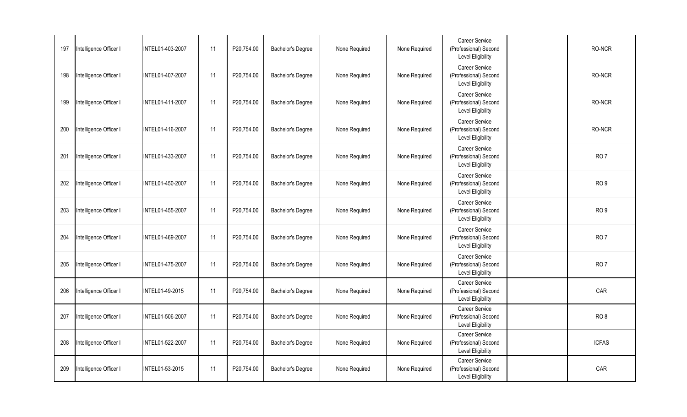| 197 | Intelligence Officer I | INTEL01-403-2007 | 11 | P20,754.00 | Bachelor's Degree | None Required | None Required | Career Service<br>(Professional) Second<br><b>Level Eligibility</b> | RO-NCR          |
|-----|------------------------|------------------|----|------------|-------------------|---------------|---------------|---------------------------------------------------------------------|-----------------|
| 198 | Intelligence Officer I | INTEL01-407-2007 | 11 | P20,754.00 | Bachelor's Degree | None Required | None Required | Career Service<br>(Professional) Second<br><b>Level Eligibility</b> | RO-NCR          |
| 199 | Intelligence Officer I | INTEL01-411-2007 | 11 | P20,754.00 | Bachelor's Degree | None Required | None Required | Career Service<br>(Professional) Second<br>Level Eligibility        | RO-NCR          |
| 200 | Intelligence Officer I | INTEL01-416-2007 | 11 | P20,754.00 | Bachelor's Degree | None Required | None Required | Career Service<br>(Professional) Second<br>Level Eligibility        | RO-NCR          |
| 201 | Intelligence Officer I | INTEL01-433-2007 | 11 | P20,754.00 | Bachelor's Degree | None Required | None Required | Career Service<br>(Professional) Second<br>Level Eligibility        | <b>RO7</b>      |
| 202 | Intelligence Officer I | INTEL01-450-2007 | 11 | P20,754.00 | Bachelor's Degree | None Required | None Required | Career Service<br>(Professional) Second<br><b>Level Eligibility</b> | RO <sub>9</sub> |
| 203 | Intelligence Officer I | INTEL01-455-2007 | 11 | P20,754.00 | Bachelor's Degree | None Required | None Required | Career Service<br>(Professional) Second<br><b>Level Eligibility</b> | RO <sub>9</sub> |
| 204 | Intelligence Officer I | INTEL01-469-2007 | 11 | P20,754.00 | Bachelor's Degree | None Required | None Required | Career Service<br>(Professional) Second<br><b>Level Eligibility</b> | RO <sub>7</sub> |
| 205 | Intelligence Officer I | INTEL01-475-2007 | 11 | P20,754.00 | Bachelor's Degree | None Required | None Required | Career Service<br>(Professional) Second<br><b>Level Eligibility</b> | RO <sub>7</sub> |
| 206 | Intelligence Officer I | INTEL01-49-2015  | 11 | P20,754.00 | Bachelor's Degree | None Required | None Required | Career Service<br>(Professional) Second<br>Level Eligibility        | CAR             |
| 207 | Intelligence Officer I | INTEL01-506-2007 | 11 | P20,754.00 | Bachelor's Degree | None Required | None Required | Career Service<br>(Professional) Second<br><b>Level Eligibility</b> | RO <sub>8</sub> |
| 208 | Intelligence Officer I | INTEL01-522-2007 | 11 | P20,754.00 | Bachelor's Degree | None Required | None Required | Career Service<br>(Professional) Second<br>Level Eligibility        | <b>ICFAS</b>    |
| 209 | Intelligence Officer I | INTEL01-53-2015  | 11 | P20,754.00 | Bachelor's Degree | None Required | None Required | Career Service<br>(Professional) Second<br>Level Eligibility        | CAR             |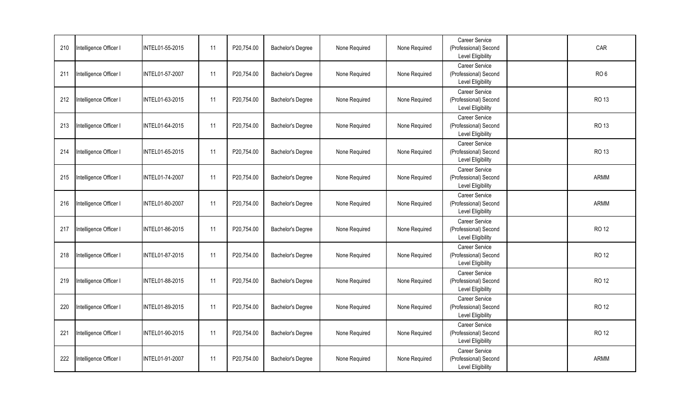| 210 | Intelligence Officer I | INTEL01-55-2015 | 11 | P20,754.00 | Bachelor's Degree | None Required | None Required | Career Service<br>(Professional) Second<br><b>Level Eligibility</b> | CAR             |
|-----|------------------------|-----------------|----|------------|-------------------|---------------|---------------|---------------------------------------------------------------------|-----------------|
| 211 | Intelligence Officer I | INTEL01-57-2007 | 11 | P20,754.00 | Bachelor's Degree | None Required | None Required | Career Service<br>(Professional) Second<br><b>Level Eligibility</b> | RO <sub>6</sub> |
| 212 | Intelligence Officer I | INTEL01-63-2015 | 11 | P20,754.00 | Bachelor's Degree | None Required | None Required | Career Service<br>(Professional) Second<br>Level Eligibility        | RO 13           |
| 213 | Intelligence Officer I | INTEL01-64-2015 | 11 | P20,754.00 | Bachelor's Degree | None Required | None Required | Career Service<br>(Professional) Second<br>Level Eligibility        | <b>RO 13</b>    |
| 214 | Intelligence Officer I | INTEL01-65-2015 | 11 | P20,754.00 | Bachelor's Degree | None Required | None Required | Career Service<br>(Professional) Second<br><b>Level Eligibility</b> | RO 13           |
| 215 | Intelligence Officer I | INTEL01-74-2007 | 11 | P20,754.00 | Bachelor's Degree | None Required | None Required | Career Service<br>(Professional) Second<br><b>Level Eligibility</b> | ARMM            |
| 216 | Intelligence Officer I | INTEL01-80-2007 | 11 | P20,754.00 | Bachelor's Degree | None Required | None Required | <b>Career Service</b><br>(Professional) Second<br>Level Eligibility | <b>ARMM</b>     |
| 217 | Intelligence Officer I | INTEL01-86-2015 | 11 | P20,754.00 | Bachelor's Degree | None Required | None Required | Career Service<br>(Professional) Second<br><b>Level Eligibility</b> | RO 12           |
| 218 | Intelligence Officer I | INTEL01-87-2015 | 11 | P20,754.00 | Bachelor's Degree | None Required | None Required | Career Service<br>(Professional) Second<br>Level Eligibility        | <b>RO 12</b>    |
| 219 | Intelligence Officer I | INTEL01-88-2015 | 11 | P20,754.00 | Bachelor's Degree | None Required | None Required | Career Service<br>(Professional) Second<br>Level Eligibility        | <b>RO 12</b>    |
| 220 | Intelligence Officer I | INTEL01-89-2015 | 11 | P20,754.00 | Bachelor's Degree | None Required | None Required | Career Service<br>(Professional) Second<br>Level Eligibility        | RO 12           |
| 221 | Intelligence Officer I | INTEL01-90-2015 | 11 | P20,754.00 | Bachelor's Degree | None Required | None Required | Career Service<br>(Professional) Second<br><b>Level Eligibility</b> | RO 12           |
| 222 | Intelligence Officer I | INTEL01-91-2007 | 11 | P20,754.00 | Bachelor's Degree | None Required | None Required | Career Service<br>(Professional) Second<br>Level Eligibility        | ARMM            |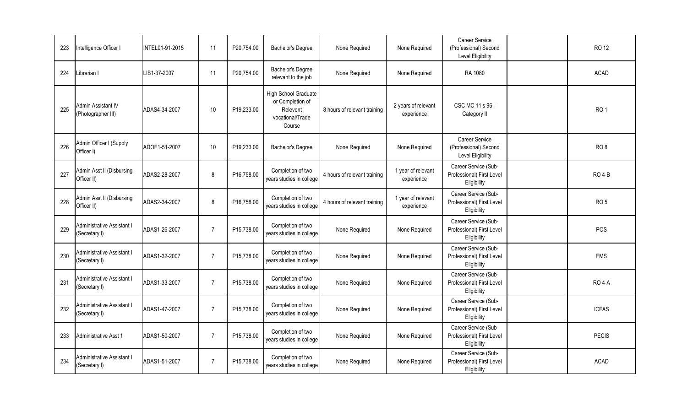| 223 | Intelligence Officer I                             | INTEL01-91-2015 | 11             | P20,754.00 | Bachelor's Degree                                                                  | None Required                | None Required                     | Career Service<br>(Professional) Second<br>Level Eligibility     | <b>RO 12</b>    |
|-----|----------------------------------------------------|-----------------|----------------|------------|------------------------------------------------------------------------------------|------------------------------|-----------------------------------|------------------------------------------------------------------|-----------------|
| 224 | Librarian I                                        | LIB1-37-2007    | 11             | P20,754.00 | Bachelor's Degree<br>relevant to the job                                           | None Required                | None Required                     | RA 1080                                                          | <b>ACAD</b>     |
| 225 | Admin Assistant IV<br>(Photographer III)           | ADAS4-34-2007   | $10$           | P19,233.00 | High School Graduate<br>or Completion of<br>Relevent<br>vocational/Trade<br>Course | 8 hours of relevant training | 2 years of relevant<br>experience | CSC MC 11 s 96 -<br>Category II                                  | RO <sub>1</sub> |
| 226 | Admin Officer I (Supply<br>Officer I)              | ADOF1-51-2007   | 10             | P19,233.00 | Bachelor's Degree                                                                  | None Required                | None Required                     | Career Service<br>(Professional) Second<br>Level Eligibility     | RO <sub>8</sub> |
| 227 | Admin Asst II (Disbursing<br>Officer II)           | ADAS2-28-2007   | 8              | P16,758.00 | Completion of two<br>years studies in college                                      | 4 hours of relevant training | 1 year of relevant<br>experience  | Career Service (Sub-<br>Professional) First Level<br>Eligibility | <b>RO 4-B</b>   |
| 228 | Admin Asst II (Disbursing<br>Officer II)           | ADAS2-34-2007   | 8              | P16,758.00 | Completion of two<br>years studies in college                                      | 4 hours of relevant training | 1 year of relevant<br>experience  | Career Service (Sub-<br>Professional) First Level<br>Eligibility | RO <sub>5</sub> |
| 229 | <b>Administrative Assistant I</b><br>(Secretary I) | ADAS1-26-2007   | $\overline{7}$ | P15,738.00 | Completion of two<br>years studies in college                                      | None Required                | None Required                     | Career Service (Sub-<br>Professional) First Level<br>Eligibility | POS             |
| 230 | <b>Administrative Assistant I</b><br>(Secretary I) | ADAS1-32-2007   | $\overline{7}$ | P15,738.00 | Completion of two<br>years studies in college                                      | None Required                | None Required                     | Career Service (Sub-<br>Professional) First Level<br>Eligibility | <b>FMS</b>      |
| 231 | Administrative Assistant I<br>(Secretary I)        | ADAS1-33-2007   | $\overline{7}$ | P15,738.00 | Completion of two<br>years studies in college                                      | None Required                | None Required                     | Career Service (Sub-<br>Professional) First Level<br>Eligibility | <b>RO 4-A</b>   |
| 232 | <b>Administrative Assistant I</b><br>(Secretary I) | ADAS1-47-2007   | $\overline{7}$ | P15,738.00 | Completion of two<br>years studies in college                                      | None Required                | None Required                     | Career Service (Sub-<br>Professional) First Level<br>Eligibility | <b>ICFAS</b>    |
| 233 | Administrative Asst 1                              | ADAS1-50-2007   | $\overline{7}$ | P15,738.00 | Completion of two<br>years studies in college                                      | None Required                | None Required                     | Career Service (Sub-<br>Professional) First Level<br>Eligibility | <b>PECIS</b>    |
| 234 | Administrative Assistant I<br>(Secretary I)        | ADAS1-51-2007   | $\overline{7}$ | P15,738.00 | Completion of two<br>years studies in college                                      | None Required                | None Required                     | Career Service (Sub-<br>Professional) First Level<br>Eligibility | <b>ACAD</b>     |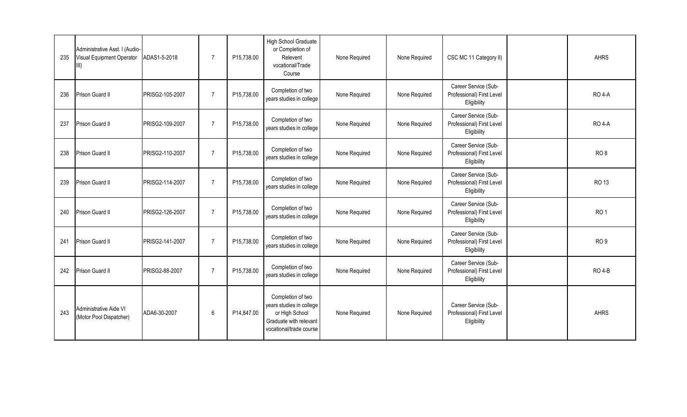| 235 | Administrative Asst. I (Audio-<br>Visual Equipment Operator<br>III) | ADAS1-5-2018    | $\overline{7}$ | P15,738.00 | <b>High School Graduate</b><br>or Completion of<br>Relevent<br>vocational/Trade<br>Course                            | None Required | None Required | CSC MC 11 Category II)                                           | <b>AHRS</b>     |
|-----|---------------------------------------------------------------------|-----------------|----------------|------------|----------------------------------------------------------------------------------------------------------------------|---------------|---------------|------------------------------------------------------------------|-----------------|
| 236 | Prison Guard II                                                     | PRISG2-105-2007 | $\overline{7}$ | P15,738.00 | Completion of two<br>years studies in college                                                                        | None Required | None Required | Career Service (Sub-<br>Professional) First Level<br>Eligibility | <b>RO 4-A</b>   |
| 237 | Prison Guard II                                                     | PRISG2-109-2007 | $\overline{7}$ | P15,738.00 | Completion of two<br>years studies in college                                                                        | None Required | None Required | Career Service (Sub-<br>Professional) First Level<br>Eligibility | <b>RO 4-A</b>   |
| 238 | Prison Guard II                                                     | PRISG2-110-2007 | $\overline{7}$ | P15,738.00 | Completion of two<br>years studies in college                                                                        | None Required | None Required | Career Service (Sub-<br>Professional) First Level<br>Eligibility | RO <sub>8</sub> |
| 239 | Prison Guard II                                                     | PRISG2-114-2007 | $\overline{7}$ | P15,738.00 | Completion of two<br>years studies in college                                                                        | None Required | None Required | Career Service (Sub-<br>Professional) First Level<br>Eligibility | RO 13           |
| 240 | Prison Guard II                                                     | PRISG2-126-2007 | $\overline{7}$ | P15,738.00 | Completion of two<br>years studies in college                                                                        | None Required | None Required | Career Service (Sub-<br>Professional) First Level<br>Eligibility | RO <sub>1</sub> |
| 241 | Prison Guard II                                                     | PRISG2-141-2007 | $\overline{7}$ | P15,738.00 | Completion of two<br>years studies in college                                                                        | None Required | None Required | Career Service (Sub-<br>Professional) First Level<br>Eligibility | RO <sub>9</sub> |
| 242 | Prison Guard II                                                     | PRISG2-88-2007  | $\overline{7}$ | P15,738.00 | Completion of two<br>years studies in college                                                                        | None Required | None Required | Career Service (Sub-<br>Professional) First Level<br>Eligibility | <b>RO 4-B</b>   |
| 243 | Administrative Aide VI<br>(Motor Pool Dispatcher)                   | ADA6-30-2007    | 6              | P14,847.00 | Completion of two<br>years studies in college<br>or High School<br>Graduate with relevant<br>vocational/trade course | None Required | None Required | Career Service (Sub-<br>Professional) First Level<br>Eligibility | <b>AHRS</b>     |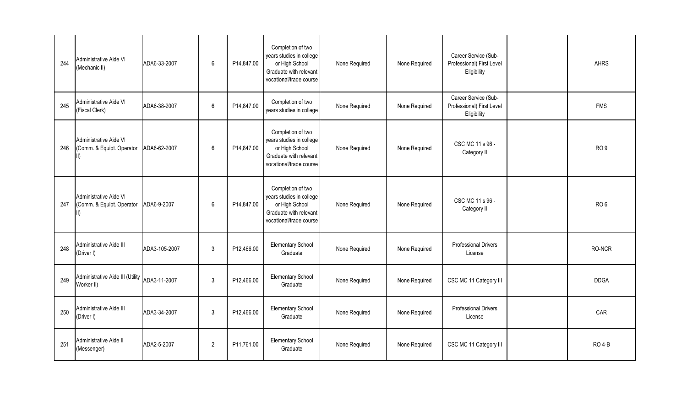| 244 | Administrative Aide VI<br>(Mechanic II)                            | ADA6-33-2007  | 6              | P14,847.00 | Completion of two<br>years studies in college<br>or High School<br>Graduate with relevant<br>vocational/trade course | None Required | None Required | Career Service (Sub-<br>Professional) First Level<br>Eligibility | <b>AHRS</b>     |
|-----|--------------------------------------------------------------------|---------------|----------------|------------|----------------------------------------------------------------------------------------------------------------------|---------------|---------------|------------------------------------------------------------------|-----------------|
| 245 | Administrative Aide VI<br>(Fiscal Clerk)                           | ADA6-38-2007  | 6              | P14,847.00 | Completion of two<br>years studies in college                                                                        | None Required | None Required | Career Service (Sub-<br>Professional) First Level<br>Eligibility | <b>FMS</b>      |
| 246 | Administrative Aide VI<br>(Comm. & Equipt. Operator                | ADA6-62-2007  | $6\,$          | P14,847.00 | Completion of two<br>years studies in college<br>or High School<br>Graduate with relevant<br>vocational/trade course | None Required | None Required | CSC MC 11 s 96 -<br>Category II                                  | RO <sub>9</sub> |
| 247 | Administrative Aide VI<br>(Comm. & Equipt. Operator<br>$\parallel$ | ADA6-9-2007   | 6              | P14,847.00 | Completion of two<br>years studies in college<br>or High School<br>Graduate with relevant<br>vocational/trade course | None Required | None Required | CSC MC 11 s 96 -<br>Category II                                  | RO <sub>6</sub> |
| 248 | Administrative Aide III<br>(Driver I)                              | ADA3-105-2007 | 3              | P12,466.00 | <b>Elementary School</b><br>Graduate                                                                                 | None Required | None Required | <b>Professional Drivers</b><br>License                           | RO-NCR          |
| 249 | Administrative Aide III (Utility<br>Worker II)                     | ADA3-11-2007  | $\mathfrak{Z}$ | P12,466.00 | <b>Elementary School</b><br>Graduate                                                                                 | None Required | None Required | CSC MC 11 Category III                                           | <b>DDGA</b>     |
| 250 | Administrative Aide III<br>(Driver I)                              | ADA3-34-2007  | 3              | P12,466.00 | <b>Elementary School</b><br>Graduate                                                                                 | None Required | None Required | <b>Professional Drivers</b><br>License                           | CAR             |
| 251 | Administrative Aide II<br>(Messenger)                              | ADA2-5-2007   | $\overline{2}$ | P11,761.00 | <b>Elementary School</b><br>Graduate                                                                                 | None Required | None Required | CSC MC 11 Category III                                           | <b>RO 4-B</b>   |